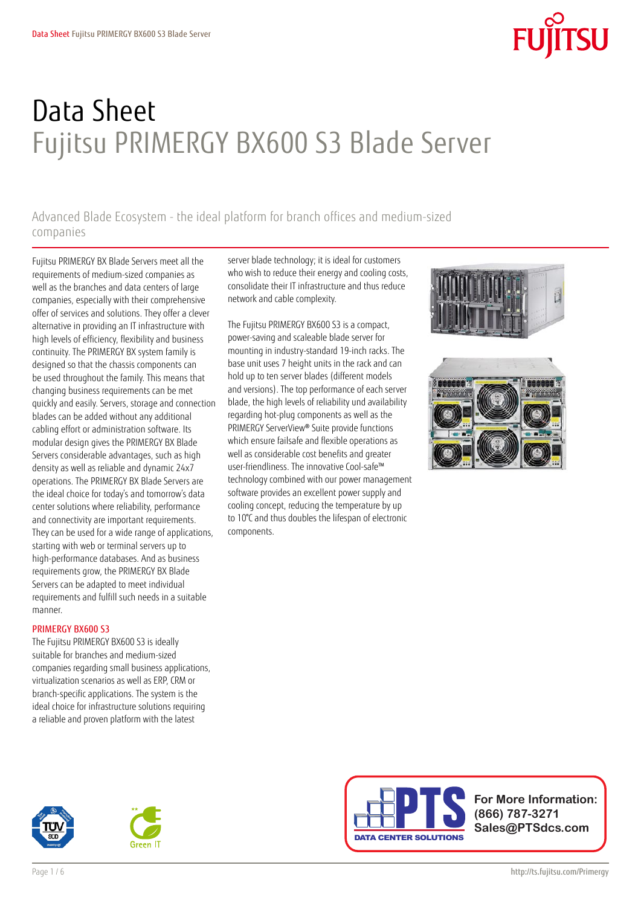# Data Sheet Fujitsu PRIMERGY BX600 S3 Blade Server

Advanced Blade Ecosystem - the ideal platform for branch offices and medium-sized companies

Fujitsu PRIMERGY BX Blade Servers meet all the requirements of medium-sized companies as well as the branches and data centers of large companies, especially with their comprehensive offer of services and solutions. They offer a clever alternative in providing an IT infrastructure with high levels of efficiency, flexibility and business continuity. The PRIMERGY BX system family is designed so that the chassis components can be used throughout the family. This means that changing business requirements can be met quickly and easily. Servers, storage and connection blades can be added without any additional cabling effort or administration software. Its modular design gives the PRIMERGY BX Blade Servers considerable advantages, such as high density as well as reliable and dynamic 24x7 operations. The PRIMERGY BX Blade Servers are the ideal choice for today's and tomorrow's data center solutions where reliability, performance and connectivity are important requirements. They can be used for a wide range of applications, starting with web or terminal servers up to high-performance databases. And as business requirements grow, the PRIMERGY BX Blade Servers can be adapted to meet individual requirements and fulfill such needs in a suitable manner.

### PRIMERGY BX600 S3

The Fujitsu PRIMERGY BX600 S3 is ideally suitable for branches and medium-sized companies regarding small business applications, virtualization scenarios as well as ERP, CRM or branch-specific applications. The system is the ideal choice for infrastructure solutions requiring a reliable and proven platform with the latest

server blade technology; it is ideal for customers who wish to reduce their energy and cooling costs, consolidate their IT infrastructure and thus reduce network and cable complexity.

The Fujitsu PRIMERGY BX600 S3 is a compact, power-saving and scaleable blade server for mounting in industry-standard 19-inch racks. The base unit uses 7 height units in the rack and can hold up to ten server blades (different models and versions). The top performance of each server blade, the high levels of reliability und availability regarding hot-plug components as well as the PRIMERGY ServerView® Suite provide functions which ensure failsafe and flexible operations as well as considerable cost benefits and greater user-friendliness. The innovative Cool-safe™ technology combined with our power management software provides an excellent power supply and cooling concept, reducing the temperature by up to 10°C and thus doubles the lifespan of electronic components.







**For More Information: Sales@PTSdcs.com**





**(866) 787-3271**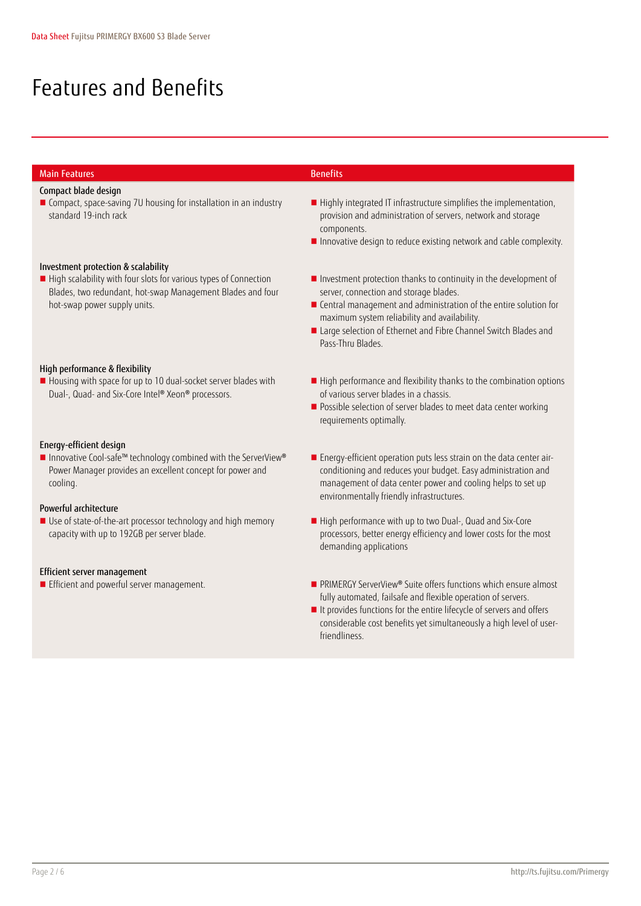## Features and Benefits

### Main Features Benefits Benefits

### Compact blade design

■ Compact, space-saving 7U housing for installation in an industry standard 19-inch rack

### Investment protection & scalability

High scalability with four slots for various types of Connection Blades, two redundant, hot-swap Management Blades and four hot-swap power supply units.

### High performance & flexibility

Housing with space for up to 10 dual-socket server blades with Dual-, Quad- and Six-Core Intel® Xeon® processors.

### Energy-efficient design

■ Innovative Cool-safe™ technology combined with the ServerView® Power Manager provides an excellent concept for power and cooling.

### Powerful architecture

Use of state-of-the-art processor technology and high memory capacity with up to 192GB per server blade.

### Efficient server management

- Highly integrated IT infrastructure simplifies the implementation, provision and administration of servers, network and storage components.
- **Innovative design to reduce existing network and cable complexity.**
- **Investment protection thanks to continuity in the development of** server, connection and storage blades.
- Central management and administration of the entire solution for maximum system reliability and availability.
- Large selection of Ethernet and Fibre Channel Switch Blades and Pass-Thru Blades.
- High performance and flexibility thanks to the combination options of various server blades in a chassis.
- **Possible selection of server blades to meet data center working** requirements optimally.
- Energy-efficient operation puts less strain on the data center airconditioning and reduces your budget. Easy administration and management of data center power and cooling helps to set up environmentally friendly infrastructures.
- High performance with up to two Dual-, Quad and Six-Core processors, better energy efficiency and lower costs for the most demanding applications
- Efficient and powerful server management. PRIMERGY ServerView® Suite offers functions which ensure almost fully automated, failsafe and flexible operation of servers.
	- I It provides functions for the entire lifecycle of servers and offers considerable cost benefits yet simultaneously a high level of userfriendliness.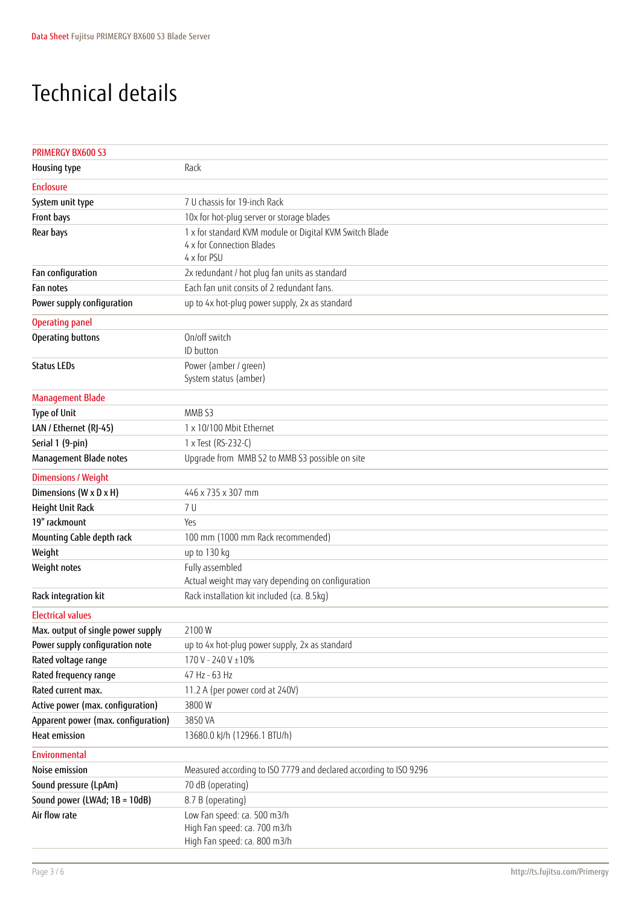## Technical details

| <b>PRIMERGY BX600 S3</b>            |                                                                   |
|-------------------------------------|-------------------------------------------------------------------|
| Housing type                        | Rack                                                              |
| <b>Enclosure</b>                    |                                                                   |
| System unit type                    | 7 U chassis for 19-inch Rack                                      |
| Front bays                          | 10x for hot-plug server or storage blades                         |
| Rear bays                           | 1 x for standard KVM module or Digital KVM Switch Blade           |
|                                     | 4 x for Connection Blades                                         |
|                                     | 4 x for PSU                                                       |
| Fan configuration                   | 2x redundant / hot plug fan units as standard                     |
| Fan notes                           | Each fan unit consits of 2 redundant fans.                        |
| Power supply configuration          | up to 4x hot-plug power supply, 2x as standard                    |
| <b>Operating panel</b>              |                                                                   |
| Operating buttons                   | On/off switch                                                     |
|                                     | ID button                                                         |
| <b>Status LEDs</b>                  | Power (amber / green)                                             |
|                                     | System status (amber)                                             |
| <b>Management Blade</b>             |                                                                   |
| <b>Type of Unit</b>                 | MMB <sub>S3</sub>                                                 |
| LAN / Ethernet (RJ-45)              | 1 x 10/100 Mbit Ethernet                                          |
| Serial 1 (9-pin)                    | 1 x Test (RS-232-C)                                               |
| Management Blade notes              | Upgrade from MMB S2 to MMB S3 possible on site                    |
| <b>Dimensions / Weight</b>          |                                                                   |
| Dimensions (W x D x H)              | 446 x 735 x 307 mm                                                |
| Height Unit Rack                    | 7 U                                                               |
| 19" rackmount                       | Yes                                                               |
| Mounting Cable depth rack           | 100 mm (1000 mm Rack recommended)                                 |
| Weight                              | up to 130 kg                                                      |
| Weight notes                        | Fully assembled                                                   |
|                                     | Actual weight may vary depending on configuration                 |
| Rack integration kit                | Rack installation kit included (ca. 8.5kg)                        |
| <b>Electrical values</b>            |                                                                   |
| Max. output of single power supply  | 2100W                                                             |
| Power supply configuration note     | up to 4x hot-plug power supply, 2x as standard                    |
| Rated voltage range                 | 170 V - 240 V ±10%                                                |
| Rated frequency range               | 47 Hz - 63 Hz                                                     |
| Rated current max.                  | 11.2 A (per power cord at 240V)                                   |
| Active power (max. configuration)   | 3800W                                                             |
| Apparent power (max. configuration) | 3850 VA                                                           |
| <b>Heat emission</b>                | 13680.0 kJ/h (12966.1 BTU/h)                                      |
| Environmental                       |                                                                   |
| Noise emission                      | Measured according to ISO 7779 and declared according to ISO 9296 |
| Sound pressure (LpAm)               | 70 dB (operating)                                                 |
| Sound power (LWAd; 1B = 10dB)       | 8.7 B (operating)                                                 |
| Air flow rate                       | Low Fan speed: ca. 500 m3/h                                       |
|                                     | High Fan speed: ca. 700 m3/h                                      |
|                                     | High Fan speed: ca. 800 m3/h                                      |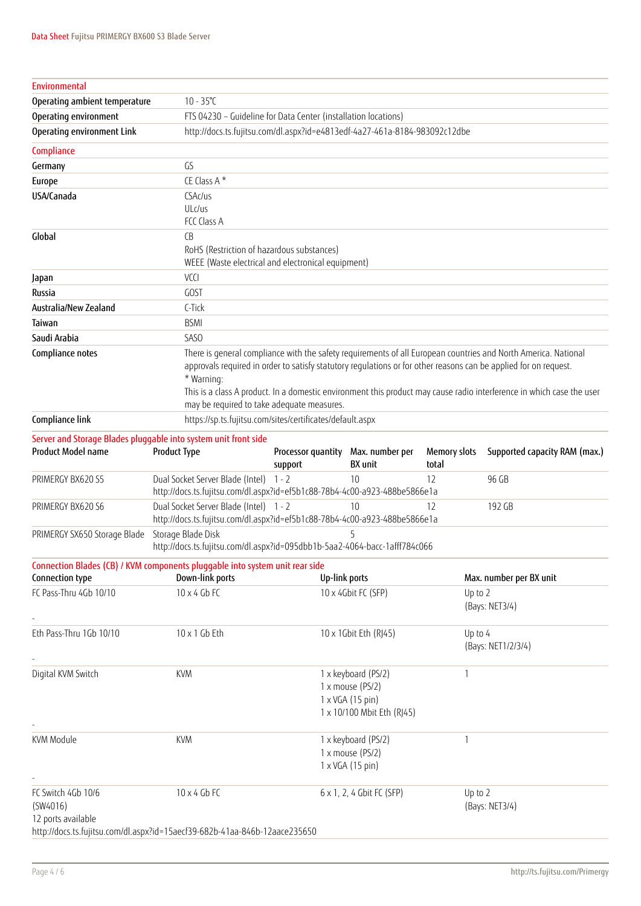| <b>Environmental</b>                                 |                                                                                                                      |                               |                                                                                           |                              |                                                                                                                                                                                                                                                                                                                                                             |
|------------------------------------------------------|----------------------------------------------------------------------------------------------------------------------|-------------------------------|-------------------------------------------------------------------------------------------|------------------------------|-------------------------------------------------------------------------------------------------------------------------------------------------------------------------------------------------------------------------------------------------------------------------------------------------------------------------------------------------------------|
| Operating ambient temperature                        | $10 - 35^{\circ}C$                                                                                                   |                               |                                                                                           |                              |                                                                                                                                                                                                                                                                                                                                                             |
| Operating environment                                | FTS 04230 - Guideline for Data Center (installation locations)                                                       |                               |                                                                                           |                              |                                                                                                                                                                                                                                                                                                                                                             |
| Operating environment Link                           | http://docs.ts.fujitsu.com/dl.aspx?id=e4813edf-4a27-461a-8184-983092c12dbe                                           |                               |                                                                                           |                              |                                                                                                                                                                                                                                                                                                                                                             |
| Compliance                                           |                                                                                                                      |                               |                                                                                           |                              |                                                                                                                                                                                                                                                                                                                                                             |
| Germany                                              | GS                                                                                                                   |                               |                                                                                           |                              |                                                                                                                                                                                                                                                                                                                                                             |
| Europe                                               | CE Class A*                                                                                                          |                               |                                                                                           |                              |                                                                                                                                                                                                                                                                                                                                                             |
| USA/Canada                                           | CSAc/us                                                                                                              |                               |                                                                                           |                              |                                                                                                                                                                                                                                                                                                                                                             |
|                                                      | ULc/us                                                                                                               |                               |                                                                                           |                              |                                                                                                                                                                                                                                                                                                                                                             |
|                                                      | FCC Class A                                                                                                          |                               |                                                                                           |                              |                                                                                                                                                                                                                                                                                                                                                             |
| Global                                               | (B)<br>RoHS (Restriction of hazardous substances)                                                                    |                               |                                                                                           |                              |                                                                                                                                                                                                                                                                                                                                                             |
|                                                      | WEEE (Waste electrical and electronical equipment)                                                                   |                               |                                                                                           |                              |                                                                                                                                                                                                                                                                                                                                                             |
| Japan                                                | VCCI                                                                                                                 |                               |                                                                                           |                              |                                                                                                                                                                                                                                                                                                                                                             |
| Russia                                               | <b>GOST</b>                                                                                                          |                               |                                                                                           |                              |                                                                                                                                                                                                                                                                                                                                                             |
| Australia/New Zealand                                | C-Tick                                                                                                               |                               |                                                                                           |                              |                                                                                                                                                                                                                                                                                                                                                             |
| Taiwan                                               | <b>BSMI</b>                                                                                                          |                               |                                                                                           |                              |                                                                                                                                                                                                                                                                                                                                                             |
| Saudi Arabia                                         | SAS <sub>O</sub>                                                                                                     |                               |                                                                                           |                              |                                                                                                                                                                                                                                                                                                                                                             |
| Compliance notes                                     | * Warning:<br>may be required to take adequate measures.                                                             |                               |                                                                                           |                              | There is general compliance with the safety requirements of all European countries and North America. National<br>approvals required in order to satisfy statutory regulations or for other reasons can be applied for on request.<br>This is a class A product. In a domestic environment this product may cause radio interference in which case the user |
| Compliance link                                      | https://sp.ts.fujitsu.com/sites/certificates/default.aspx                                                            |                               |                                                                                           |                              |                                                                                                                                                                                                                                                                                                                                                             |
| <b>Product Model name</b>                            | Server and Storage Blades pluggable into system unit front side<br><b>Product Type</b>                               | Processor quantity<br>support | Max. number per<br><b>BX</b> unit                                                         | <b>Memory slots</b><br>total | Supported capacity RAM (max.)                                                                                                                                                                                                                                                                                                                               |
| PRIMERGY BX620 S5                                    | Dual Socket Server Blade (Intel) 1 - 2<br>http://docs.ts.fujitsu.com/dl.aspx?id=ef5b1c88-78b4-4c00-a923-488be5866e1a |                               | 10                                                                                        | 12                           | 96 GB                                                                                                                                                                                                                                                                                                                                                       |
| PRIMERGY BX620 S6                                    | Dual Socket Server Blade (Intel) 1 - 2<br>http://docs.ts.fujitsu.com/dl.aspx?id=ef5b1c88-78b4-4c00-a923-488be5866e1a |                               | 10                                                                                        | 12                           | 192 GB                                                                                                                                                                                                                                                                                                                                                      |
| PRIMERGY SX650 Storage Blade                         | Storage Blade Disk<br>http://docs.ts.fujitsu.com/dl.aspx?id=095dbb1b-5aa2-4064-bacc-1afff784c066                     |                               | 5                                                                                         |                              |                                                                                                                                                                                                                                                                                                                                                             |
| Connection type                                      | Connection Blades (CB) / KVM components pluggable into system unit rear side<br>Down-link ports                      |                               | Up-link ports                                                                             |                              | Max. number per BX unit                                                                                                                                                                                                                                                                                                                                     |
| FC Pass-Thru 4Gb 10/10                               | $10 \times 4$ Gb FC                                                                                                  |                               | 10 x 4Gbit FC (SFP)                                                                       | Up to 2                      | (Bays: NET3/4)                                                                                                                                                                                                                                                                                                                                              |
| Eth Pass-Thru 1Gb 10/10                              | $10 \times 1$ Gb Eth                                                                                                 |                               | 10 x 1Gbit Eth (RJ45)                                                                     | Up to 4                      | (Bays: NET1/2/3/4)                                                                                                                                                                                                                                                                                                                                          |
| Digital KVM Switch                                   | <b>KVM</b>                                                                                                           |                               | 1 x keyboard (PS/2)<br>1 x mouse (PS/2)<br>1 x VGA (15 pin)<br>1 x 10/100 Mbit Eth (RJ45) | $\mathbf{1}$                 |                                                                                                                                                                                                                                                                                                                                                             |
| KVM Module                                           | <b>KVM</b>                                                                                                           |                               | 1 x keyboard (PS/2)<br>1 x mouse (PS/2)<br>1 x VGA (15 pin)                               | $\mathbf{1}$                 |                                                                                                                                                                                                                                                                                                                                                             |
| FC Switch 4Gb 10/6<br>(SW4016)<br>12 ports available | $10 \times 4$ Gb FC<br>http://docs.ts.fujitsu.com/dl.aspx?id=15aecf39-682b-41aa-846b-12aace235650                    |                               | 6 x 1, 2, 4 Gbit FC (SFP)                                                                 | Up to 2                      | (Bays: NET3/4)                                                                                                                                                                                                                                                                                                                                              |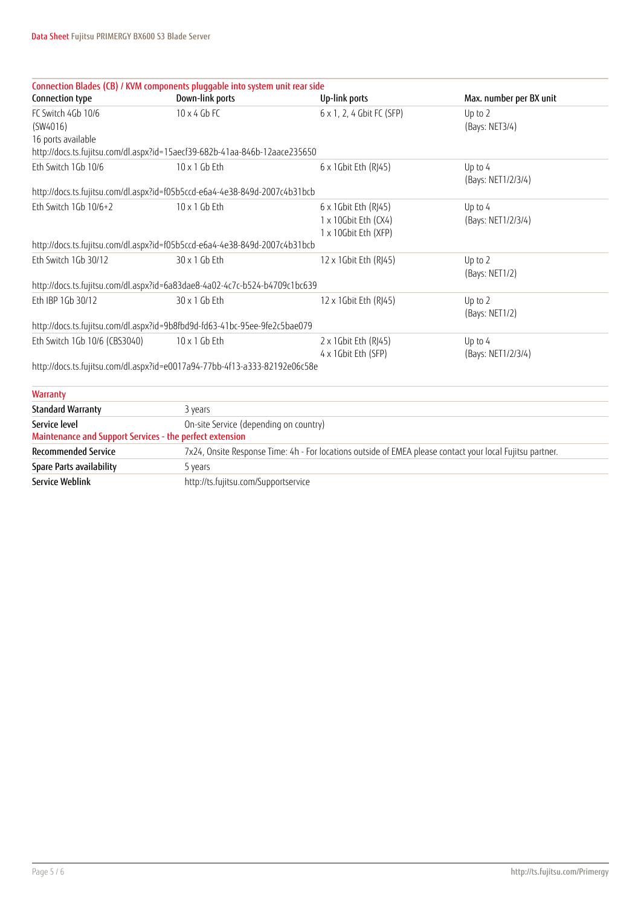| Connection Blades (CB) / KVM components pluggable into system unit rear side |                                        |                                                                                                           |                         |  |  |  |
|------------------------------------------------------------------------------|----------------------------------------|-----------------------------------------------------------------------------------------------------------|-------------------------|--|--|--|
| Connection type                                                              | Down-link ports                        | Up-link ports                                                                                             | Max. number per BX unit |  |  |  |
| FC Switch 4Gb 10/6                                                           | $10 \times 4$ Gb FC                    | 6 x 1, 2, 4 Gbit FC (SFP)                                                                                 | Up to 2                 |  |  |  |
| (SW4016)                                                                     |                                        |                                                                                                           | (Bays: NET3/4)          |  |  |  |
| 16 ports available                                                           |                                        |                                                                                                           |                         |  |  |  |
| http://docs.ts.fujitsu.com/dl.aspx?id=15aecf39-682b-41aa-846b-12aace235650   |                                        |                                                                                                           |                         |  |  |  |
| Eth Switch 1Gb 10/6                                                          | $10 \times 1$ Gb Eth                   | 6 x 1Gbit Eth (RJ45)                                                                                      | Up to 4                 |  |  |  |
|                                                                              |                                        |                                                                                                           | (Bays: NET1/2/3/4)      |  |  |  |
| http://docs.ts.fujitsu.com/dl.aspx?id=f05b5ccd-e6a4-4e38-849d-2007c4b31bcb   |                                        |                                                                                                           |                         |  |  |  |
| Eth Switch 1Gb 10/6+2                                                        | 10 x 1 Gb Eth                          | 6 x 1Gbit Eth (RJ45)                                                                                      | Up to 4                 |  |  |  |
|                                                                              |                                        | 1 x 10Gbit Eth (CX4)                                                                                      | (Bays: NET1/2/3/4)      |  |  |  |
|                                                                              |                                        | 1 x 10Gbit Eth (XFP)                                                                                      |                         |  |  |  |
| http://docs.ts.fujitsu.com/dl.aspx?id=f05b5ccd-e6a4-4e38-849d-2007c4b31bcb   |                                        |                                                                                                           |                         |  |  |  |
| Eth Switch 1Gb 30/12                                                         | 30 x 1 Gb Eth                          | 12 x 1Gbit Eth (RJ45)                                                                                     | Up to 2                 |  |  |  |
|                                                                              |                                        |                                                                                                           | (Bays: NET1/2)          |  |  |  |
| http://docs.ts.fujitsu.com/dl.aspx?id=6a83dae8-4a02-4c7c-b524-b4709c1bc639   |                                        |                                                                                                           |                         |  |  |  |
| Eth IBP 1Gb 30/12                                                            | 30 x 1 Gb Eth                          | 12 x 1Gbit Eth (RJ45)                                                                                     | Up to 2                 |  |  |  |
|                                                                              |                                        |                                                                                                           | (Bays: NET1/2)          |  |  |  |
| http://docs.ts.fujitsu.com/dl.aspx?id=9b8fbd9d-fd63-41bc-95ee-9fe2c5bae079   |                                        |                                                                                                           |                         |  |  |  |
| Eth Switch 1Gb 10/6 (CBS3040)                                                | $10 \times 1$ Gb Eth                   | 2 x 1Gbit Eth (RJ45)                                                                                      | Up to 4                 |  |  |  |
|                                                                              |                                        | 4 x 1Gbit Eth (SFP)                                                                                       | (Bays: NET1/2/3/4)      |  |  |  |
| http://docs.ts.fujitsu.com/dl.aspx?id=e0017a94-77bb-4f13-a333-82192e06c58e   |                                        |                                                                                                           |                         |  |  |  |
| Warranty                                                                     |                                        |                                                                                                           |                         |  |  |  |
| <b>Standard Warranty</b>                                                     | 3 years                                |                                                                                                           |                         |  |  |  |
| Service level                                                                | On-site Service (depending on country) |                                                                                                           |                         |  |  |  |
| Maintenance and Support Services - the perfect extension                     |                                        |                                                                                                           |                         |  |  |  |
| <b>Recommended Service</b>                                                   |                                        | 7x24, Onsite Response Time: 4h - For locations outside of EMEA please contact your local Fujitsu partner. |                         |  |  |  |
| Spare Parts availability                                                     | 5 years                                |                                                                                                           |                         |  |  |  |
| <b>Service Weblink</b>                                                       | http://ts.fujitsu.com/Supportservice   |                                                                                                           |                         |  |  |  |